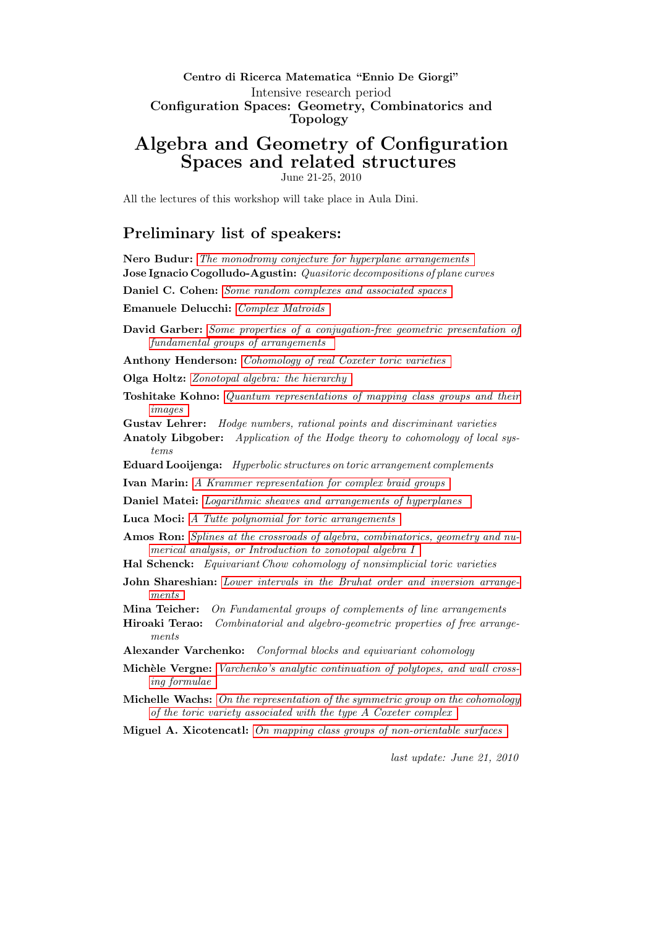### Centro di Ricerca Matematica "Ennio De Giorgi" Intensive research period Configuration Spaces: Geometry, Combinatorics and Topology

# Algebra and Geometry of Configuration Spaces and related structures

June 21-25, 2010

<span id="page-0-0"></span>All the lectures of this workshop will take place in Aula Dini.

## Preliminary list of speakers:

Nero Budur: [The monodromy conjecture for hyperplane arrangements](#page-2-0) Jose Ignacio Cogolludo-Agustin: Quasitoric decompositions of plane curves

Daniel C. Cohen: [Some random complexes and associated spaces](#page-2-1)

Emanuele Delucchi: [Complex Matroids](#page-2-2)

David Garber: [Some properties of a conjugation-free geometric presentation of](#page-3-0) [fundamental groups of arrangements](#page-3-0)

Anthony Henderson: [Cohomology of real Coxeter toric varieties](#page-3-1)

Olga Holtz: [Zonotopal algebra: the hierarchy](#page-3-2)

Toshitake Kohno: [Quantum representations of mapping class groups and their](#page-4-0) [images](#page-4-0)

Gustav Lehrer: Hodge numbers, rational points and discriminant varieties

- Anatoly Libgober: Application of the Hodge theory to cohomology of local systems
- Eduard Looijenga: Hyperbolic structures on toric arrangement complements
- Ivan Marin: [A Krammer representation for complex braid groups](#page-4-1)
- Daniel Matei: [Logarithmic sheaves and arrangements of hyperplanes](#page-5-0)
- Luca Moci: [A Tutte polynomial for toric arrangements](#page-5-1)
- Amos Ron: [Splines at the crossroads of algebra, combinatorics, geometry and nu](#page-6-0)[merical analysis, or Introduction to zonotopal algebra I](#page-6-0)
- Hal Schenck: Equivariant Chow cohomology of nonsimplicial toric varieties
- John Shareshian: [Lower intervals in the Bruhat order and inversion arrange](#page-7-0)[ments](#page-7-0)
- Mina Teicher: On Fundamental groups of complements of line arrangements
- Hiroaki Terao: Combinatorial and algebro-geometric properties of free arrangements
- Alexander Varchenko: Conformal blocks and equivariant cohomology
- Michèle Vergne: [Varchenko's analytic continuation of polytopes, and wall cross](#page-7-1)[ing formulae](#page-7-1)
- Michelle Wachs: [On the representation of the symmetric group on the cohomology](#page-8-0) [of the toric variety associated with the type](#page-8-0) A Coxeter complex
- Miguel A. Xicotencatl: [On mapping class groups of non-orientable surfaces](#page-8-1)

last update: June 21, 2010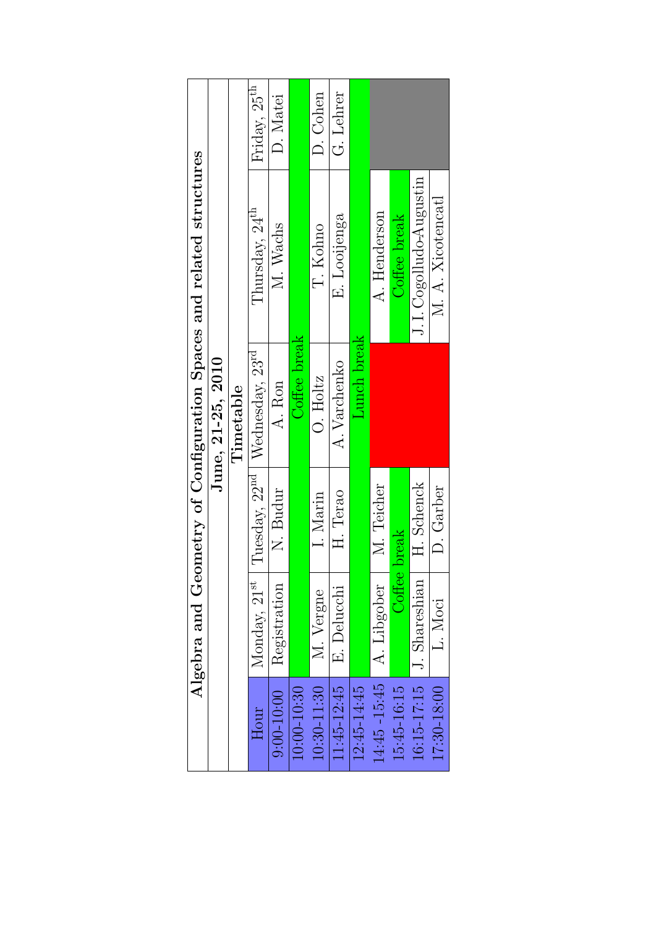| Algebra and Geometry of Configuration Spaces and related structures | June, 21-25, 2010 | Timetable | Friday, 25 <sup>th</sup>                                | D. Matei     |                 | D. Cohen        | G. Lehrer    | Lunch break |               |                       |                        |                   |
|---------------------------------------------------------------------|-------------------|-----------|---------------------------------------------------------|--------------|-----------------|-----------------|--------------|-------------|---------------|-----------------------|------------------------|-------------------|
|                                                                     |                   |           | Thursday, 24 <sup>th</sup>                              | M. Wachs     | Coffee break    | T. Kohno        | E. Looijenga |             | A. Henderson  | Coffee break          | J.I.Cogolludo-Augustin | M. A. Xicotencatl |
|                                                                     |                   |           | Tuesday, 22 <sup>nd</sup>   Wednesday, 23 <sup>rd</sup> | A. Ron       |                 | $O.$ Holtz      | A. Varchenko |             |               |                       |                        |                   |
|                                                                     |                   |           |                                                         | N. Budur     |                 | I. Marin        | H. Terao     |             | M. Teicher    | break<br>$\rm Coffee$ | H. Schenck             | D. Garber         |
|                                                                     |                   |           | Monday, 21 <sup>st</sup>                                | Registration |                 | M. Vergne       | E. Delucchi  |             | A. Libgober   |                       | J. Shareshian          | L. Moci           |
|                                                                     |                   |           | Hour                                                    | $9:00-10:00$ | $10:00 - 10:30$ | $10:30 - 11:30$ | 11:45-12:45  | 12:45-14:45 | 14:45 - 15:45 | 15:45-16:15           | 16:15-17:15            | 17:30-18:00       |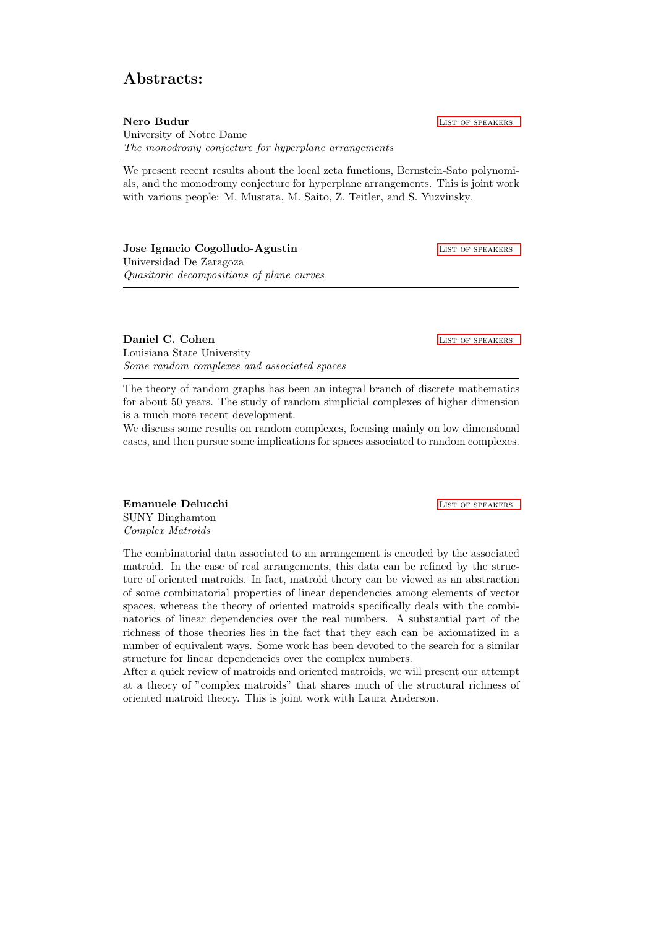## Abstracts:

<span id="page-2-0"></span>Nero Budur **List of Speakers List of Speakers** University of Notre Dame The monodromy conjecture for hyperplane arrangements

We present recent results about the local zeta functions, Bernstein-Sato polynomials, and the monodromy conjecture for hyperplane arrangements. This is joint work with various people: M. Mustata, M. Saito, Z. Teitler, and S. Yuzvinsky.

| Jose Ignacio Cogolludo-Agustin            | LIST OF SPEAKERS |
|-------------------------------------------|------------------|
| Universidad De Zaragoza                   |                  |
| Quasitoric decompositions of plane curves |                  |

<span id="page-2-1"></span>**Daniel C. Cohen List of Speakers** List of Speakers Louisiana State University Some random complexes and associated spaces

The theory of random graphs has been an integral branch of discrete mathematics for about 50 years. The study of random simplicial complexes of higher dimension is a much more recent development.

We discuss some results on random complexes, focusing mainly on low dimensional cases, and then pursue some implications for spaces associated to random complexes.

<span id="page-2-2"></span>**Emanuele Delucchi** [List of speakers](#page-0-0) and the List of speakers and the List of speakers and the List of speakers of  $\sim$ SUNY Binghamton Complex Matroids

The combinatorial data associated to an arrangement is encoded by the associated matroid. In the case of real arrangements, this data can be refined by the structure of oriented matroids. In fact, matroid theory can be viewed as an abstraction of some combinatorial properties of linear dependencies among elements of vector spaces, whereas the theory of oriented matroids specifically deals with the combinatorics of linear dependencies over the real numbers. A substantial part of the richness of those theories lies in the fact that they each can be axiomatized in a number of equivalent ways. Some work has been devoted to the search for a similar structure for linear dependencies over the complex numbers.

After a quick review of matroids and oriented matroids, we will present our attempt at a theory of "complex matroids" that shares much of the structural richness of oriented matroid theory. This is joint work with Laura Anderson.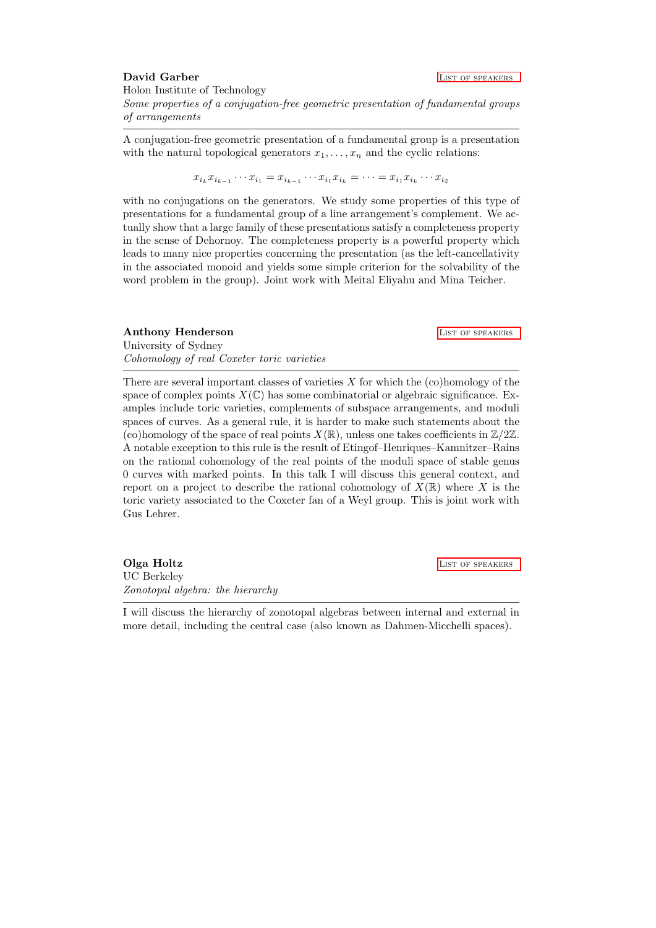<span id="page-3-0"></span>David Garber **LIST OF SPEAKERS** Holon Institute of Technology Some properties of a conjugation-free geometric presentation of fundamental groups of arrangements

A conjugation-free geometric presentation of a fundamental group is a presentation with the natural topological generators  $x_1, \ldots, x_n$  and the cyclic relations:

 $x_{i_k} x_{i_{k-1}} \cdots x_{i_1} = x_{i_{k-1}} \cdots x_{i_1} x_{i_k} = \cdots = x_{i_1} x_{i_k} \cdots x_{i_2}$ 

with no conjugations on the generators. We study some properties of this type of presentations for a fundamental group of a line arrangement's complement. We actually show that a large family of these presentations satisfy a completeness property in the sense of Dehornoy. The completeness property is a powerful property which leads to many nice properties concerning the presentation (as the left-cancellativity in the associated monoid and yields some simple criterion for the solvability of the word problem in the group). Joint work with Meital Eliyahu and Mina Teicher.

<span id="page-3-1"></span>**Anthony Henderson** LIST OF SPEAKERS University of Sydney Cohomology of real Coxeter toric varieties

There are several important classes of varieties  $X$  for which the  $(c)$ homology of the space of complex points  $X(\mathbb{C})$  has some combinatorial or algebraic significance. Examples include toric varieties, complements of subspace arrangements, and moduli spaces of curves. As a general rule, it is harder to make such statements about the (co)homology of the space of real points  $X(\mathbb{R})$ , unless one takes coefficients in  $\mathbb{Z}/2\mathbb{Z}$ . A notable exception to this rule is the result of Etingof–Henriques–Kamnitzer–Rains on the rational cohomology of the real points of the moduli space of stable genus 0 curves with marked points. In this talk I will discuss this general context, and report on a project to describe the rational cohomology of  $X(\mathbb{R})$  where X is the toric variety associated to the Coxeter fan of a Weyl group. This is joint work with Gus Lehrer.

<span id="page-3-2"></span>**Olga Holtz** LIST OF SPEAKERS UC Berkeley Zonotopal algebra: the hierarchy

I will discuss the hierarchy of zonotopal algebras between internal and external in more detail, including the central case (also known as Dahmen-Micchelli spaces).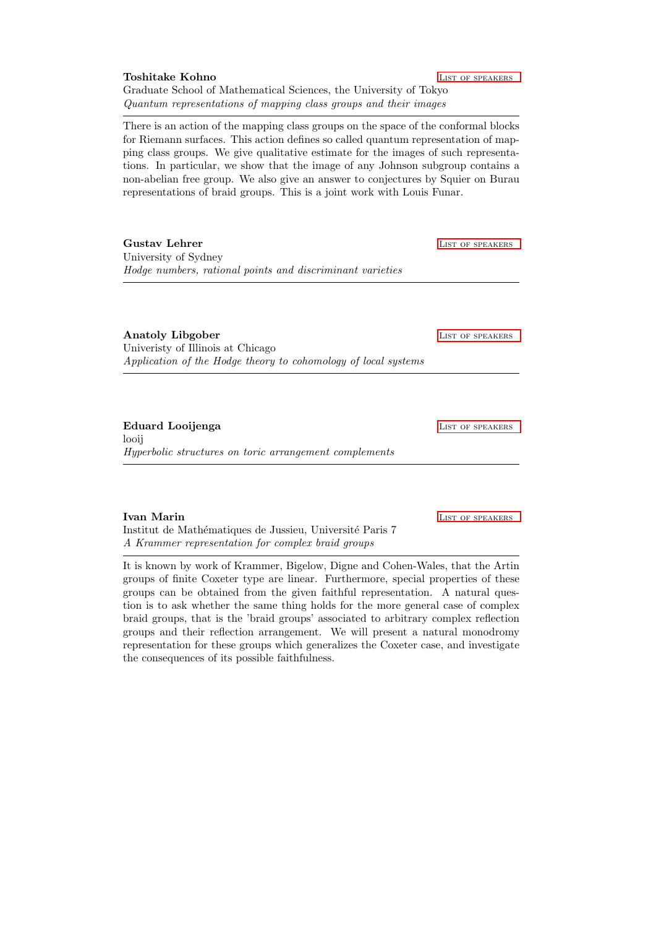<span id="page-4-0"></span>There is an action of the mapping class groups on the space of the conformal blocks for Riemann surfaces. This action defines so called quantum representation of mapping class groups. We give qualitative estimate for the images of such representations. In particular, we show that the image of any Johnson subgroup contains a non-abelian free group. We also give an answer to conjectures by Squier on Burau representations of braid groups. This is a joint work with Louis Funar.

Gustav Lehrer List of Speakers and List of Speakers List of Speakers and List of Speakers and List of Speakers University of Sydney Hodge numbers, rational points and discriminant varieties

Anatoly Libgober LIST OF SPEAKERS Univeristy of Illinois at Chicago Application of the Hodge theory to cohomology of local systems

Eduard Looijenga **LIST OF SPEAKERS** looij Hyperbolic structures on toric arrangement complements

<span id="page-4-1"></span>**Ivan Marin LIST OF SPEAKERS** 

Institut de Mathématiques de Jussieu, Université Paris 7 A Krammer representation for complex braid groups

It is known by work of Krammer, Bigelow, Digne and Cohen-Wales, that the Artin groups of finite Coxeter type are linear. Furthermore, special properties of these groups can be obtained from the given faithful representation. A natural question is to ask whether the same thing holds for the more general case of complex braid groups, that is the 'braid groups' associated to arbitrary complex reflection groups and their reflection arrangement. We will present a natural monodromy representation for these groups which generalizes the Coxeter case, and investigate the consequences of its possible faithfulness.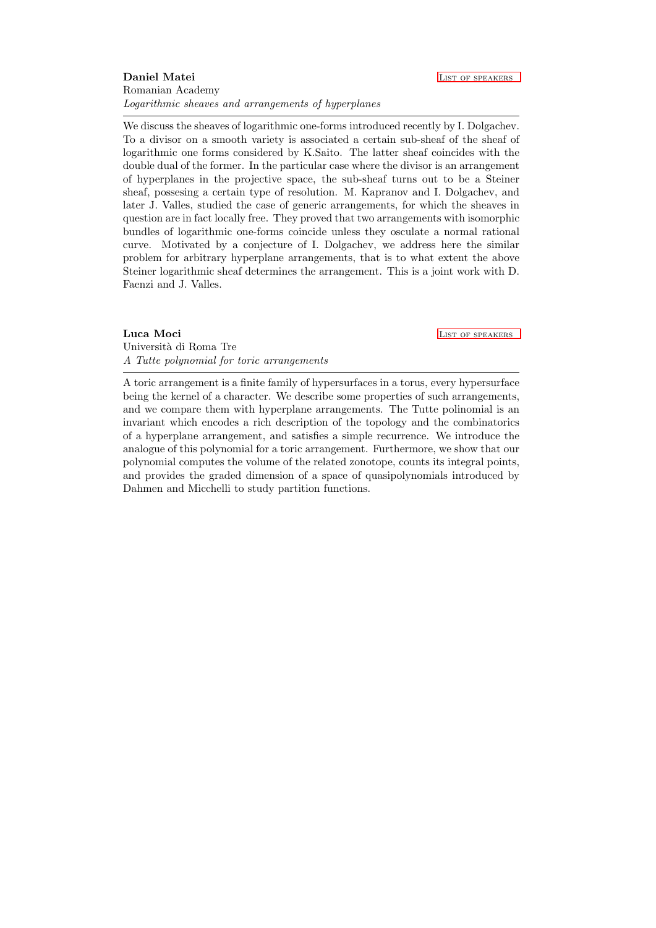### <span id="page-5-0"></span>**Daniel Matei LIST OF SPEAKERS** Romanian Academy Logarithmic sheaves and arrangements of hyperplanes

We discuss the sheaves of logarithmic one-forms introduced recently by I. Dolgachev. To a divisor on a smooth variety is associated a certain sub-sheaf of the sheaf of logarithmic one forms considered by K.Saito. The latter sheaf coincides with the double dual of the former. In the particular case where the divisor is an arrangement of hyperplanes in the projective space, the sub-sheaf turns out to be a Steiner sheaf, possesing a certain type of resolution. M. Kapranov and I. Dolgachev, and later J. Valles, studied the case of generic arrangements, for which the sheaves in question are in fact locally free. They proved that two arrangements with isomorphic bundles of logarithmic one-forms coincide unless they osculate a normal rational curve. Motivated by a conjecture of I. Dolgachev, we address here the similar problem for arbitrary hyperplane arrangements, that is to what extent the above Steiner logarithmic sheaf determines the arrangement. This is a joint work with D. Faenzi and J. Valles.

<span id="page-5-1"></span>Luca Moci **Luca Moci** Luca Contract of Speakers

Università di Roma Tre A Tutte polynomial for toric arrangements

A toric arrangement is a finite family of hypersurfaces in a torus, every hypersurface being the kernel of a character. We describe some properties of such arrangements, and we compare them with hyperplane arrangements. The Tutte polinomial is an invariant which encodes a rich description of the topology and the combinatorics of a hyperplane arrangement, and satisfies a simple recurrence. We introduce the analogue of this polynomial for a toric arrangement. Furthermore, we show that our polynomial computes the volume of the related zonotope, counts its integral points, and provides the graded dimension of a space of quasipolynomials introduced by Dahmen and Micchelli to study partition functions.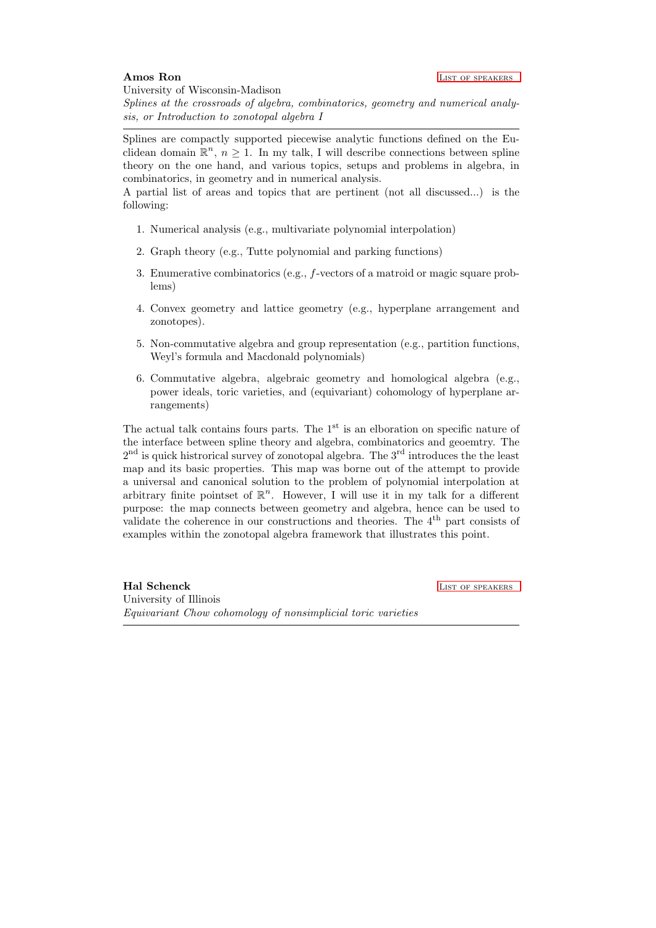<span id="page-6-0"></span>University of Wisconsin-Madison

Splines at the crossroads of algebra, combinatorics, geometry and numerical analysis, or Introduction to zonotopal algebra I

Splines are compactly supported piecewise analytic functions defined on the Euclidean domain  $\mathbb{R}^n$ ,  $n \geq 1$ . In my talk, I will describe connections between spline theory on the one hand, and various topics, setups and problems in algebra, in combinatorics, in geometry and in numerical analysis.

A partial list of areas and topics that are pertinent (not all discussed...) is the following:

- 1. Numerical analysis (e.g., multivariate polynomial interpolation)
- 2. Graph theory (e.g., Tutte polynomial and parking functions)
- 3. Enumerative combinatorics (e.g., f-vectors of a matroid or magic square problems)
- 4. Convex geometry and lattice geometry (e.g., hyperplane arrangement and zonotopes).
- 5. Non-commutative algebra and group representation (e.g., partition functions, Weyl's formula and Macdonald polynomials)
- 6. Commutative algebra, algebraic geometry and homological algebra (e.g., power ideals, toric varieties, and (equivariant) cohomology of hyperplane arrangements)

The actual talk contains fours parts. The  $1<sup>st</sup>$  is an elboration on specific nature of the interface between spline theory and algebra, combinatorics and geoemtry. The  $2<sup>nd</sup>$  is quick histrorical survey of zonotopal algebra. The  $3<sup>rd</sup>$  introduces the the least map and its basic properties. This map was borne out of the attempt to provide a universal and canonical solution to the problem of polynomial interpolation at arbitrary finite pointset of  $\mathbb{R}^n$ . However, I will use it in my talk for a different purpose: the map connects between geometry and algebra, hence can be used to validate the coherence in our constructions and theories. The  $4<sup>th</sup>$  part consists of examples within the zonotopal algebra framework that illustrates this point.

Hal Schenck **LIST OF SPEAKERS** University of Illinois Equivariant Chow cohomology of nonsimplicial toric varieties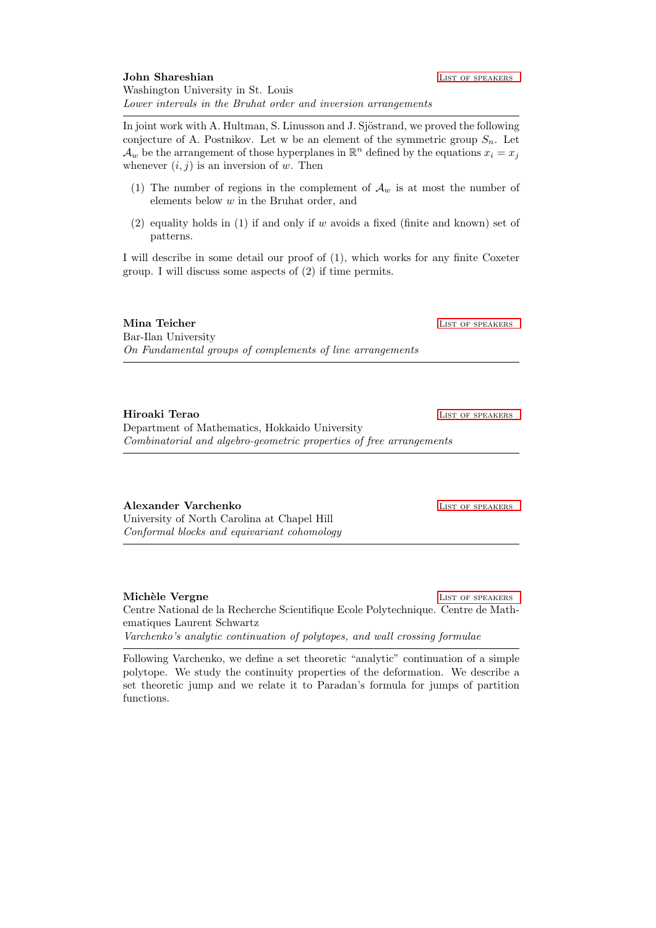<span id="page-7-0"></span>In joint work with A. Hultman, S. Linusson and J. Sjöstrand, we proved the following conjecture of A. Postnikov. Let w be an element of the symmetric group  $S_n$ . Let  $\mathcal{A}_w$  be the arrangement of those hyperplanes in  $\mathbb{R}^n$  defined by the equations  $x_i = x_j$ whenever  $(i, j)$  is an inversion of w. Then

- (1) The number of regions in the complement of  $\mathcal{A}_w$  is at most the number of elements below w in the Bruhat order, and
- $(2)$  equality holds in  $(1)$  if and only if w avoids a fixed (finite and known) set of patterns.

I will describe in some detail our proof of (1), which works for any finite Coxeter group. I will discuss some aspects of (2) if time permits.

#### **Mina Teicher LIST OF SPEAKERS**

Bar-Ilan University On Fundamental groups of complements of line arrangements

Hiroaki Terao **LIST OF SPEAKERS** Department of Mathematics, Hokkaido University Combinatorial and algebro-geometric properties of free arrangements

Alexander Varchenko **LIST OF SPEAKERS** 

University of North Carolina at Chapel Hill Conformal blocks and equivariant cohomology

<span id="page-7-1"></span>Michèle Vergne **LIST OF SPEAKERS** Centre National de la Recherche Scientifique Ecole Polytechnique. Centre de Mathematiques Laurent Schwartz Varchenko's analytic continuation of polytopes, and wall crossing formulae

Following Varchenko, we define a set theoretic "analytic" continuation of a simple polytope. We study the continuity properties of the deformation. We describe a set theoretic jump and we relate it to Paradan's formula for jumps of partition functions.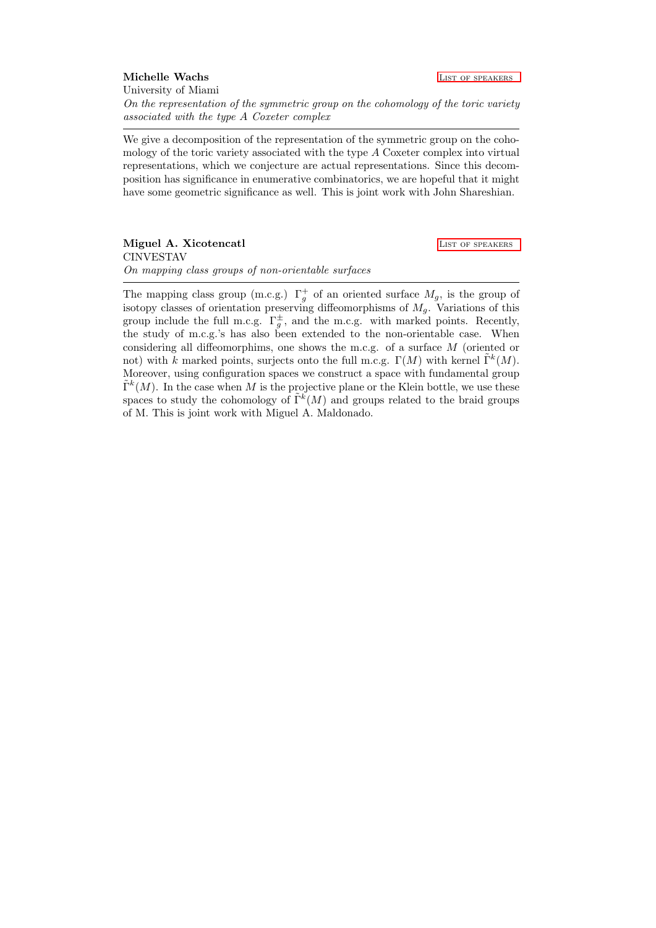<span id="page-8-0"></span>Michelle Wachs **LIST OF SPEAKERS** University of Miami

On the representation of the symmetric group on the cohomology of the toric variety associated with the type A Coxeter complex

We give a decomposition of the representation of the symmetric group on the cohomology of the toric variety associated with the type A Coxeter complex into virtual representations, which we conjecture are actual representations. Since this decomposition has significance in enumerative combinatorics, we are hopeful that it might have some geometric significance as well. This is joint work with John Shareshian.

<span id="page-8-1"></span>Miguel A. Xicotencatl **LIST OF SPEAKERS** CINVESTAV On mapping class groups of non-orientable surfaces

The mapping class group (m.c.g.)  $\Gamma_g^+$  of an oriented surface  $M_g$ , is the group of isotopy classes of orientation preserving diffeomorphisms of  $M<sub>g</sub>$ . Variations of this group include the full m.c.g.  $\Gamma_g^{\pm}$ , and the m.c.g. with marked points. Recently, the study of m.c.g.'s has also been extended to the non-orientable case. When considering all diffeomorphims, one shows the m.c.g. of a surface M (oriented or not) with k marked points, surjects onto the full m.c.g.  $\Gamma(M)$  with kernel  $\tilde{\Gamma}^k(M)$ . Moreover, using configuration spaces we construct a space with fundamental group  $\tilde{\Gamma}^k(M)$ . In the case when M is the projective plane or the Klein bottle, we use these spaces to study the cohomology of  $\tilde{\Gamma}^k(M)$  and groups related to the braid groups of M. This is joint work with Miguel A. Maldonado.